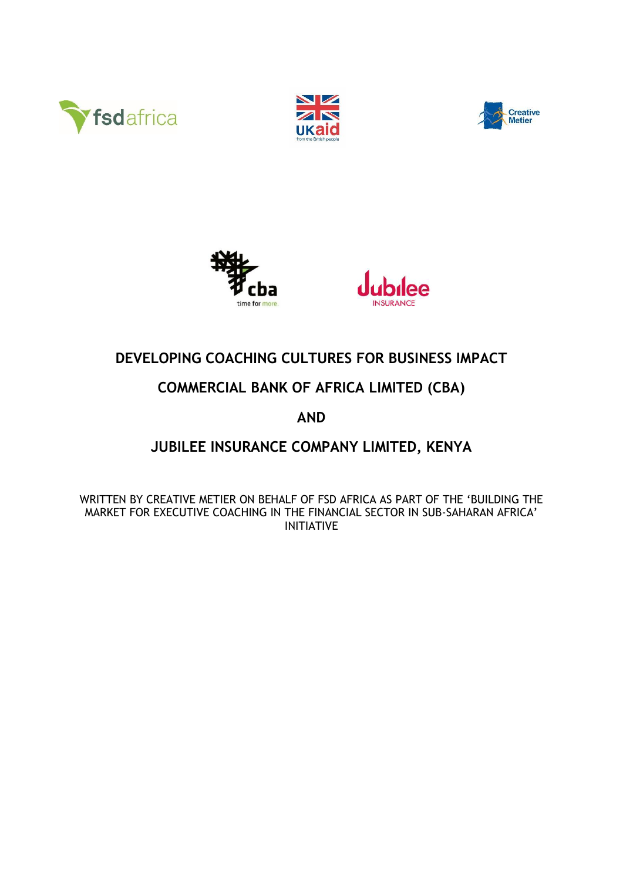









# **DEVELOPING COACHING CULTURES FOR BUSINESS IMPACT**

## **COMMERCIAL BANK OF AFRICA LIMITED (CBA)**

## **AND**

## **JUBILEE INSURANCE COMPANY LIMITED, KENYA**

WRITTEN BY CREATIVE METIER ON BEHALF OF FSD AFRICA AS PART OF THE 'BUILDING THE MARKET FOR EXECUTIVE COACHING IN THE FINANCIAL SECTOR IN SUB-SAHARAN AFRICA' INITIATIVE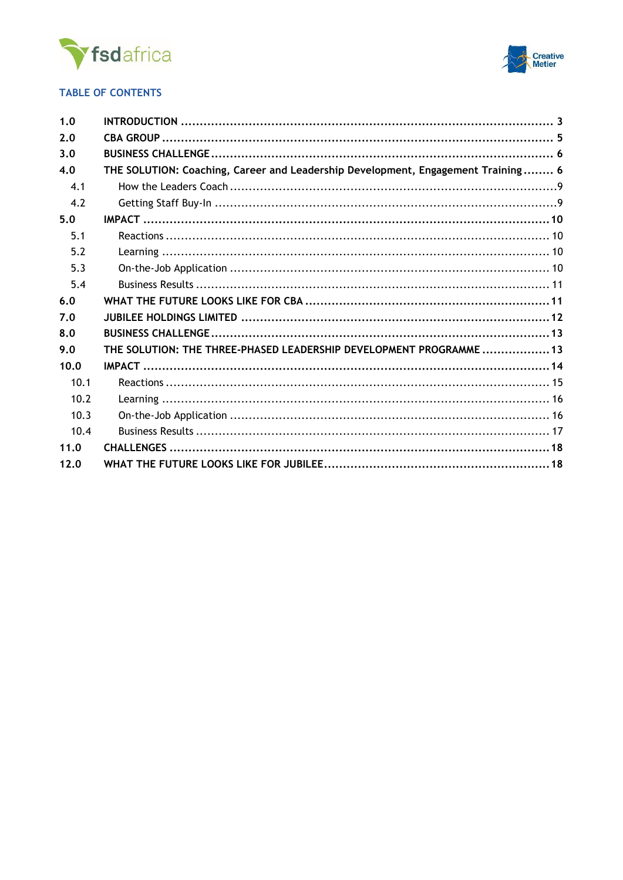



### **TABLE OF CONTENTS**

| 1.0  |                                                                                  |  |
|------|----------------------------------------------------------------------------------|--|
| 2.0  |                                                                                  |  |
| 3.0  |                                                                                  |  |
| 4.0  | THE SOLUTION: Coaching, Career and Leadership Development, Engagement Training 6 |  |
| 4.1  |                                                                                  |  |
| 4.2  |                                                                                  |  |
| 5.0  |                                                                                  |  |
| 5.1  |                                                                                  |  |
| 5.2  |                                                                                  |  |
| 5.3  |                                                                                  |  |
| 5.4  |                                                                                  |  |
| 6.0  |                                                                                  |  |
| 7.0  |                                                                                  |  |
| 8.0  |                                                                                  |  |
| 9.0  | THE SOLUTION: THE THREE-PHASED LEADERSHIP DEVELOPMENT PROGRAMME 13               |  |
| 10.0 |                                                                                  |  |
| 10.1 |                                                                                  |  |
| 10.2 |                                                                                  |  |
| 10.3 |                                                                                  |  |
| 10.4 |                                                                                  |  |
| 11.0 |                                                                                  |  |
| 12.0 |                                                                                  |  |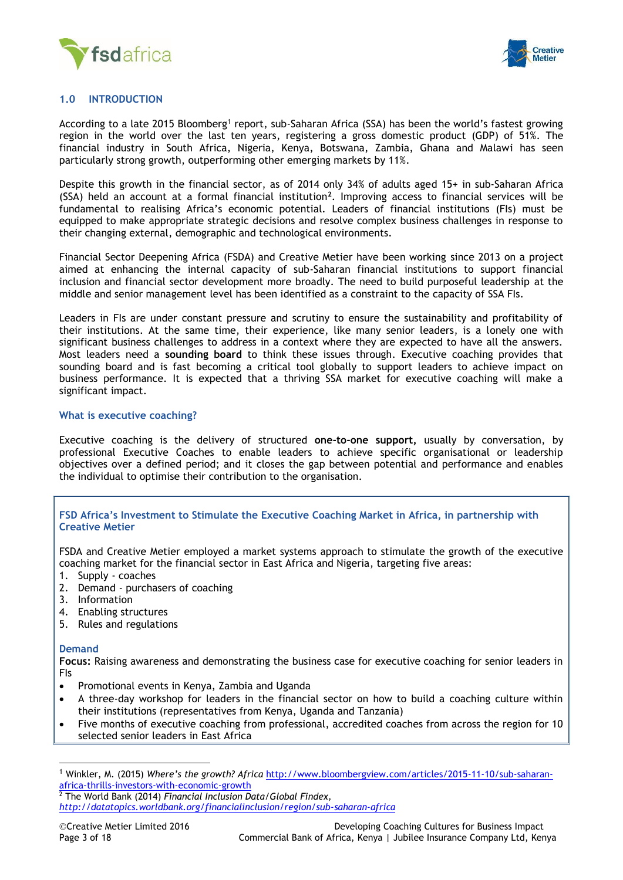



### <span id="page-2-0"></span>**1.0 INTRODUCTION**

According to a late 2015 Bloomberg<sup>1</sup> report, sub-Saharan Africa (SSA) has been the world's fastest growing region in the world over the last ten years, registering a gross domestic product (GDP) of 51%. The financial industry in South Africa, Nigeria, Kenya, Botswana, Zambia, Ghana and Malawi has seen particularly strong growth, outperforming other emerging markets by 11%.

Despite this growth in the financial sector, as of 2014 only 34% of adults aged 15+ in sub-Saharan Africa (SSA) held an account at a formal financial institution**<sup>2</sup>** . Improving access to financial services will be fundamental to realising Africa's economic potential. Leaders of financial institutions (FIs) must be equipped to make appropriate strategic decisions and resolve complex business challenges in response to their changing external, demographic and technological environments.

Financial Sector Deepening Africa (FSDA) and Creative Metier have been working since 2013 on a project aimed at enhancing the internal capacity of sub-Saharan financial institutions to support financial inclusion and financial sector development more broadly. The need to build purposeful leadership at the middle and senior management level has been identified as a constraint to the capacity of SSA FIs.

Leaders in FIs are under constant pressure and scrutiny to ensure the sustainability and profitability of their institutions. At the same time, their experience, like many senior leaders, is a lonely one with significant business challenges to address in a context where they are expected to have all the answers. Most leaders need a **sounding board** to think these issues through. Executive coaching provides that sounding board and is fast becoming a critical tool globally to support leaders to achieve impact on business performance. It is expected that a thriving SSA market for executive coaching will make a significant impact.

#### **What is executive coaching?**

Executive coaching is the delivery of structured **one-to-one support,** usually by conversation, by professional Executive Coaches to enable leaders to achieve specific organisational or leadership objectives over a defined period; and it closes the gap between potential and performance and enables the individual to optimise their contribution to the organisation.

#### **FSD Africa's Investment to Stimulate the Executive Coaching Market in Africa, in partnership with Creative Metier**

FSDA and Creative Metier employed a market systems approach to stimulate the growth of the executive coaching market for the financial sector in East Africa and Nigeria, targeting five areas:

- 1. Supply coaches
- 2. Demand purchasers of coaching
- 3. Information
- 4. Enabling structures
- 5. Rules and regulations

#### **Demand**

 $\overline{a}$ 

**Focus:** Raising awareness and demonstrating the business case for executive coaching for senior leaders in FIs

- Promotional events in Kenya, Zambia and Uganda
- A three-day workshop for leaders in the financial sector on how to build a coaching culture within their institutions (representatives from Kenya, Uganda and Tanzania)
- Five months of executive coaching from professional, accredited coaches from across the region for 10 selected senior leaders in East Africa

<sup>2</sup> The World Bank (2014) *Financial Inclusion Data/Global Findex,* 

<sup>1</sup> Winkler, M. (2015) *Where's the growth? Africa* [http://www.bloombergview.com/articles/2015-11-10/sub-saharan](http://www.bloombergview.com/articles/2015-11-10/sub-saharan-africa-thrills-investors-with-economic-growth)[africa-thrills-investors-with-economic-growth](http://www.bloombergview.com/articles/2015-11-10/sub-saharan-africa-thrills-investors-with-economic-growth)

*<http://datatopics.worldbank.org/financialinclusion/region/sub-saharan-africa>*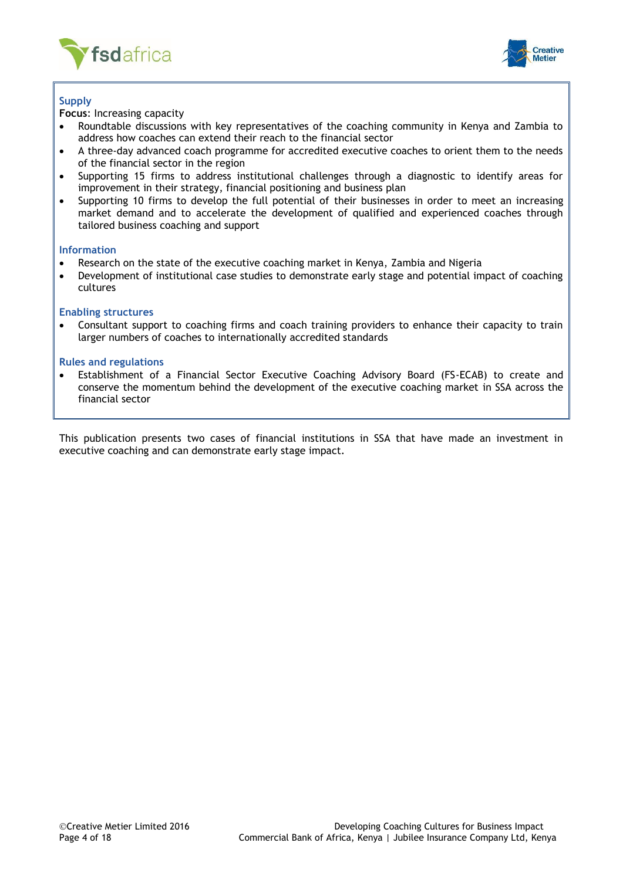



### **Supply**

**Focus**: Increasing capacity

- Roundtable discussions with key representatives of the coaching community in Kenya and Zambia to address how coaches can extend their reach to the financial sector
- A three-day advanced coach programme for accredited executive coaches to orient them to the needs of the financial sector in the region
- Supporting 15 firms to address institutional challenges through a diagnostic to identify areas for improvement in their strategy, financial positioning and business plan
- Supporting 10 firms to develop the full potential of their businesses in order to meet an increasing market demand and to accelerate the development of qualified and experienced coaches through tailored business coaching and support

#### **Information**

- Research on the state of the executive coaching market in Kenya, Zambia and Nigeria
- Development of institutional case studies to demonstrate early stage and potential impact of coaching cultures

#### **Enabling structures**

 Consultant support to coaching firms and coach training providers to enhance their capacity to train larger numbers of coaches to internationally accredited standards

#### **Rules and regulations**

 Establishment of a Financial Sector Executive Coaching Advisory Board (FS-ECAB) to create and conserve the momentum behind the development of the executive coaching market in SSA across the financial sector

<span id="page-3-0"></span>This publication presents two cases of financial institutions in SSA that have made an investment in executive coaching and can demonstrate early stage impact.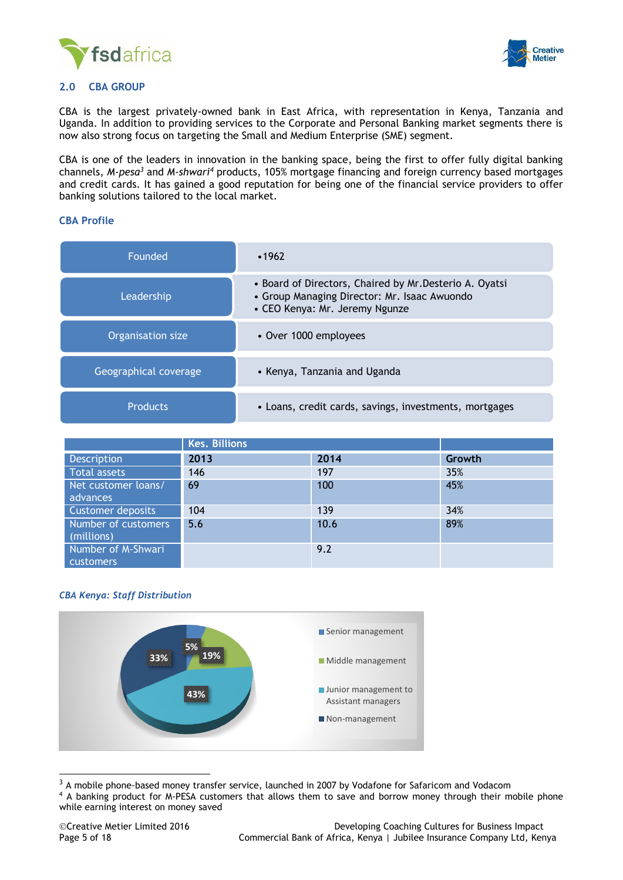



### **2.0 CBA GROUP**

CBA is the largest privately-owned bank in East Africa, with representation in Kenya, Tanzania and Uganda. In addition to providing services to the Corporate and Personal Banking market segments there is now also strong focus on targeting the Small and Medium Enterprise (SME) segment.

CBA is one of the leaders in innovation in the banking space, being the first to offer fully digital banking channels, *M-pesa<sup>3</sup>* and *M-shwari<sup>4</sup>* products, 105% mortgage financing and foreign currency based mortgages and credit cards. It has gained a good reputation for being one of the financial service providers to offer banking solutions tailored to the local market.

#### **CBA Profile**

| Founded               | •1962                                                                                                                                     |
|-----------------------|-------------------------------------------------------------------------------------------------------------------------------------------|
| Leadership            | • Board of Directors, Chaired by Mr. Desterio A. Oyatsi<br>• Group Managing Director: Mr. Isaac Awuondo<br>• CEO Kenya: Mr. Jeremy Ngunze |
| Organisation size     | • Over 1000 employees                                                                                                                     |
| Geographical coverage | • Kenya, Tanzania and Uganda                                                                                                              |
| <b>Products</b>       | • Loans, credit cards, savings, investments, mortgages                                                                                    |

|                                        | <b>Kes. Billions</b> |      |        |
|----------------------------------------|----------------------|------|--------|
| Description                            | 2013                 | 2014 | Growth |
| <b>Total assets</b>                    | 146                  | 197  | 35%    |
| Net customer loans/<br>advances        | 69                   | 100  | 45%    |
| Customer deposits                      | 104                  | 139  | 34%    |
| Number of customers<br>(millions)      | 5.6                  | 10.6 | 89%    |
| Number of M-Shwari<br><b>customers</b> |                      | 9.2  |        |

#### *CBA Kenya: Staff Distribution*



 $3$  A mobile phone-based money transfer service, launched in 2007 by Vodafone for Safaricom and Vodacom

<sup>4</sup> A banking product for M-PESA customers that allows them to save and borrow money through their mobile phone while earning interest on money saved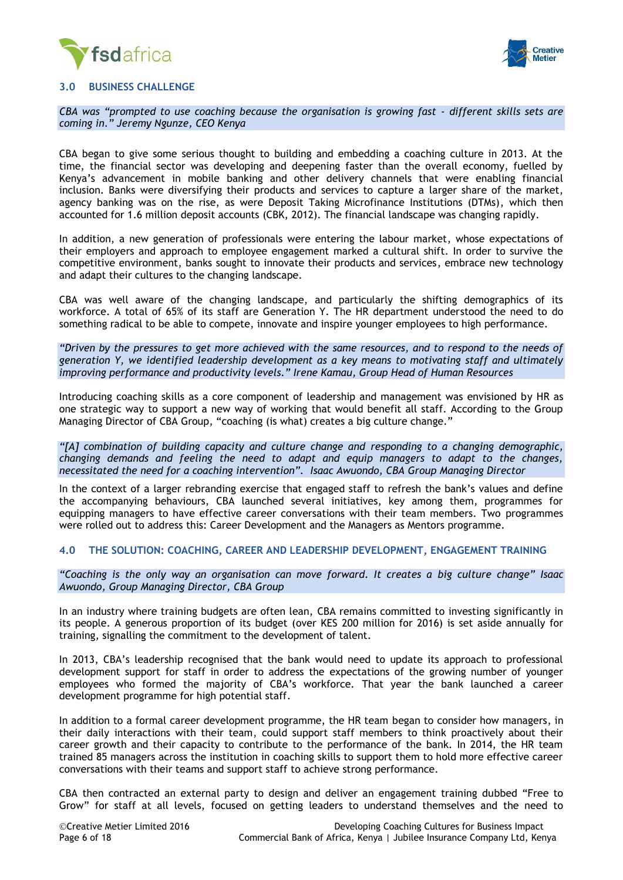



#### <span id="page-5-0"></span>**3.0 BUSINESS CHALLENGE**

*CBA was "prompted to use coaching because the organisation is growing fast - different skills sets are coming in." Jeremy Ngunze, CEO Kenya*

CBA began to give some serious thought to building and embedding a coaching culture in 2013. At the time, the financial sector was developing and deepening faster than the overall economy, fuelled by Kenya's advancement in mobile banking and other delivery channels that were enabling financial inclusion. Banks were diversifying their products and services to capture a larger share of the market, agency banking was on the rise, as were Deposit Taking Microfinance Institutions (DTMs), which then accounted for 1.6 million deposit accounts (CBK, 2012). The financial landscape was changing rapidly.

In addition, a new generation of professionals were entering the labour market, whose expectations of their employers and approach to employee engagement marked a cultural shift. In order to survive the competitive environment, banks sought to innovate their products and services, embrace new technology and adapt their cultures to the changing landscape.

CBA was well aware of the changing landscape, and particularly the shifting demographics of its workforce. A total of 65% of its staff are Generation Y. The HR department understood the need to do something radical to be able to compete, innovate and inspire younger employees to high performance.

*"Driven by the pressures to get more achieved with the same resources, and to respond to the needs of generation Y, we identified leadership development as a key means to motivating staff and ultimately improving performance and productivity levels." Irene Kamau, Group Head of Human Resources*

Introducing coaching skills as a core component of leadership and management was envisioned by HR as one strategic way to support a new way of working that would benefit all staff. According to the Group Managing Director of CBA Group, "coaching (is what) creates a big culture change."

*"[A] combination of building capacity and culture change and responding to a changing demographic, changing demands and feeling the need to adapt and equip managers to adapt to the changes, necessitated the need for a coaching intervention". Isaac Awuondo, CBA Group Managing Director*

In the context of a larger rebranding exercise that engaged staff to refresh the bank's values and define the accompanying behaviours, CBA launched several initiatives, key among them, programmes for equipping managers to have effective career conversations with their team members. Two programmes were rolled out to address this: Career Development and the Managers as Mentors programme.

#### <span id="page-5-1"></span>**4.0 THE SOLUTION: COACHING, CAREER AND LEADERSHIP DEVELOPMENT, ENGAGEMENT TRAINING**

*"Coaching is the only way an organisation can move forward. It creates a big culture change" Isaac Awuondo, Group Managing Director, CBA Group*

In an industry where training budgets are often lean, CBA remains committed to investing significantly in its people. A generous proportion of its budget (over KES 200 million for 2016) is set aside annually for training, signalling the commitment to the development of talent.

In 2013, CBA's leadership recognised that the bank would need to update its approach to professional development support for staff in order to address the expectations of the growing number of younger employees who formed the majority of CBA's workforce. That year the bank launched a career development programme for high potential staff.

In addition to a formal career development programme, the HR team began to consider how managers, in their daily interactions with their team, could support staff members to think proactively about their career growth and their capacity to contribute to the performance of the bank. In 2014, the HR team trained 85 managers across the institution in coaching skills to support them to hold more effective career conversations with their teams and support staff to achieve strong performance.

CBA then contracted an external party to design and deliver an engagement training dubbed "Free to Grow" for staff at all levels, focused on getting leaders to understand themselves and the need to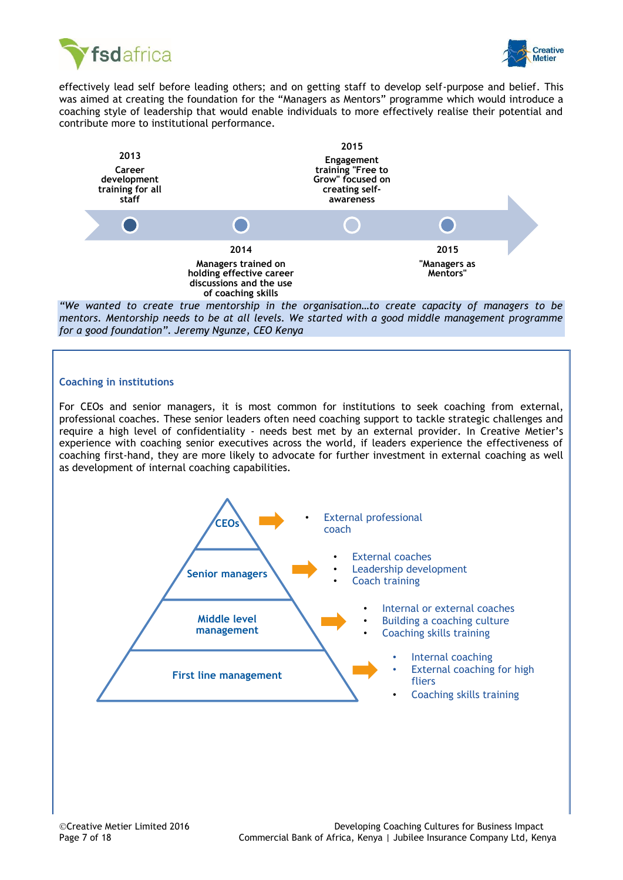



effectively lead self before leading others; and on getting staff to develop self-purpose and belief. This was aimed at creating the foundation for the "Managers as Mentors" programme which would introduce a coaching style of leadership that would enable individuals to more effectively realise their potential and contribute more to institutional performance.



*"We wanted to create true mentorship in the organisation…to create capacity of managers to be mentors. Mentorship needs to be at all levels. We started with a good middle management programme for a good foundation". Jeremy Ngunze, CEO Kenya*

### **Coaching in institutions**

For CEOs and senior managers, it is most common for institutions to seek coaching from external, professional coaches. These senior leaders often need coaching support to tackle strategic challenges and require a high level of confidentiality - needs best met by an external provider. In Creative Metier's experience with coaching senior executives across the world, if leaders experience the effectiveness of coaching first-hand, they are more likely to advocate for further investment in external coaching as well as development of internal coaching capabilities.

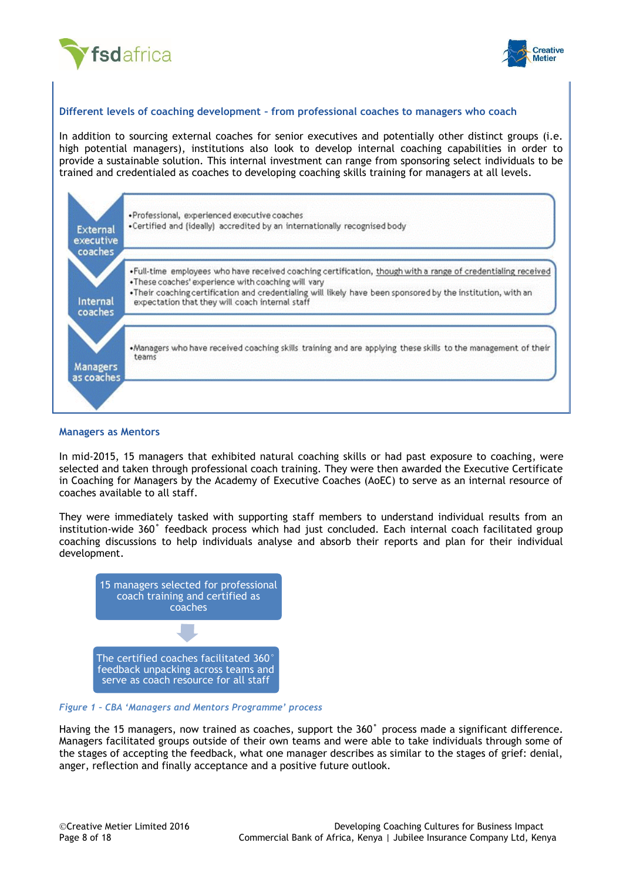



#### **Different levels of coaching development – from professional coaches to managers who coach**

In addition to sourcing external coaches for senior executives and potentially other distinct groups (i.e. high potential managers), institutions also look to develop internal coaching capabilities in order to provide a sustainable solution. This internal investment can range from sponsoring select individuals to be trained and credentialed as coaches to developing coaching skills training for managers at all levels.



#### **Managers as Mentors**

In mid-2015, 15 managers that exhibited natural coaching skills or had past exposure to coaching, were selected and taken through professional coach training. They were then awarded the Executive Certificate in Coaching for Managers by the Academy of Executive Coaches (AoEC) to serve as an internal resource of coaches available to all staff.

They were immediately tasked with supporting staff members to understand individual results from an institution-wide 360˚ feedback process which had just concluded. Each internal coach facilitated group coaching discussions to help individuals analyse and absorb their reports and plan for their individual development.



#### *Figure 1 – CBA 'Managers and Mentors Programme' process*

Having the 15 managers, now trained as coaches, support the 360˚ process made a significant difference. Managers facilitated groups outside of their own teams and were able to take individuals through some of the stages of accepting the feedback, what one manager describes as similar to the stages of grief: denial, anger, reflection and finally acceptance and a positive future outlook.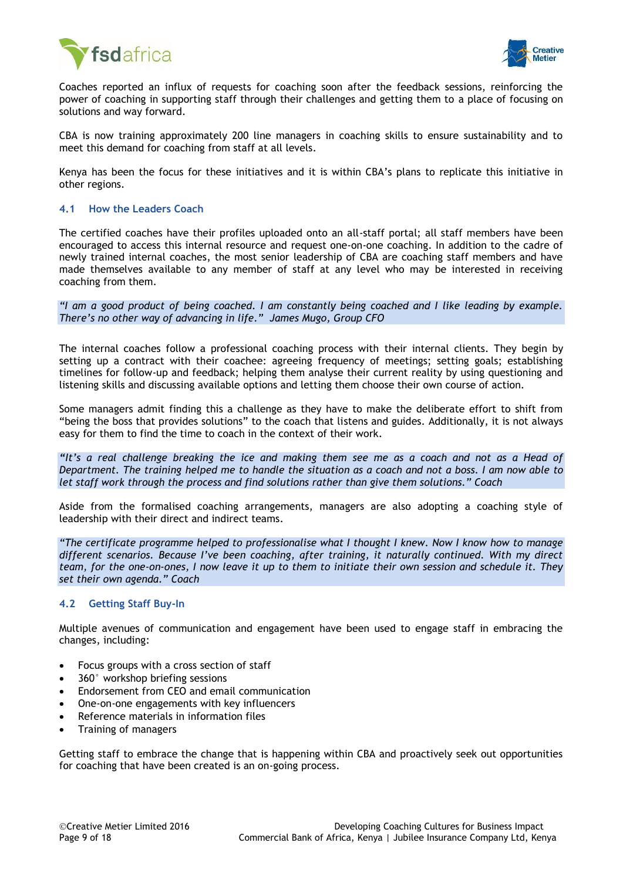



Coaches reported an influx of requests for coaching soon after the feedback sessions, reinforcing the power of coaching in supporting staff through their challenges and getting them to a place of focusing on solutions and way forward.

CBA is now training approximately 200 line managers in coaching skills to ensure sustainability and to meet this demand for coaching from staff at all levels.

Kenya has been the focus for these initiatives and it is within CBA's plans to replicate this initiative in other regions.

#### <span id="page-8-0"></span>**4.1 How the Leaders Coach**

The certified coaches have their profiles uploaded onto an all-staff portal; all staff members have been encouraged to access this internal resource and request one-on-one coaching. In addition to the cadre of newly trained internal coaches, the most senior leadership of CBA are coaching staff members and have made themselves available to any member of staff at any level who may be interested in receiving coaching from them.

*"I am a good product of being coached. I am constantly being coached and I like leading by example. There's no other way of advancing in life." James Mugo, Group CFO*

The internal coaches follow a professional coaching process with their internal clients. They begin by setting up a contract with their coachee: agreeing frequency of meetings; setting goals; establishing timelines for follow-up and feedback; helping them analyse their current reality by using questioning and listening skills and discussing available options and letting them choose their own course of action.

Some managers admit finding this a challenge as they have to make the deliberate effort to shift from "being the boss that provides solutions" to the coach that listens and guides. Additionally, it is not always easy for them to find the time to coach in the context of their work.

*"It's a real challenge breaking the ice and making them see me as a coach and not as a Head of Department. The training helped me to handle the situation as a coach and not a boss. I am now able to let staff work through the process and find solutions rather than give them solutions." Coach*

Aside from the formalised coaching arrangements, managers are also adopting a coaching style of leadership with their direct and indirect teams.

*"The certificate programme helped to professionalise what I thought I knew. Now I know how to manage different scenarios. Because I've been coaching, after training, it naturally continued. With my direct team, for the one-on-ones, I now leave it up to them to initiate their own session and schedule it. They set their own agenda." Coach*

### <span id="page-8-1"></span>**4.2 Getting Staff Buy-In**

Multiple avenues of communication and engagement have been used to engage staff in embracing the changes, including:

- Focus groups with a cross section of staff
- 360° workshop briefing sessions
- Endorsement from CEO and email communication
- One-on-one engagements with key influencers
- Reference materials in information files
- Training of managers

Getting staff to embrace the change that is happening within CBA and proactively seek out opportunities for coaching that have been created is an on-going process.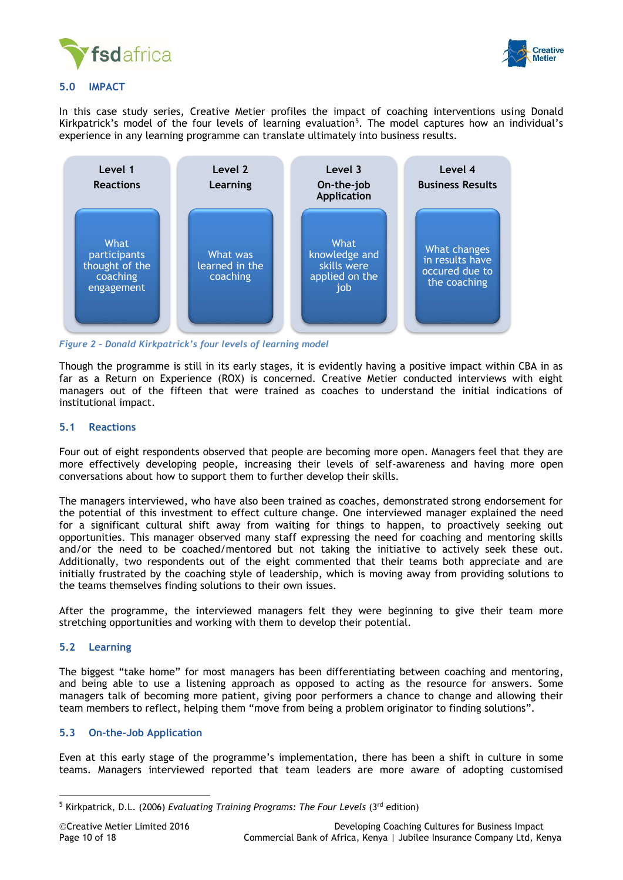



#### <span id="page-9-0"></span>**5.0 IMPACT**

In this case study series, Creative Metier profiles the impact of coaching interventions using Donald Kirkpatrick's model of the four levels of learning evaluation<sup>5</sup>. The model captures how an individual's experience in any learning programme can translate ultimately into business results.



*Figure 2 – Donald Kirkpatrick's four levels of learning model*

Though the programme is still in its early stages, it is evidently having a positive impact within CBA in as far as a Return on Experience (ROX) is concerned. Creative Metier conducted interviews with eight managers out of the fifteen that were trained as coaches to understand the initial indications of institutional impact.

#### <span id="page-9-1"></span>**5.1 Reactions**

Four out of eight respondents observed that people are becoming more open. Managers feel that they are more effectively developing people, increasing their levels of self-awareness and having more open conversations about how to support them to further develop their skills.

The managers interviewed, who have also been trained as coaches, demonstrated strong endorsement for the potential of this investment to effect culture change. One interviewed manager explained the need for a significant cultural shift away from waiting for things to happen, to proactively seeking out opportunities. This manager observed many staff expressing the need for coaching and mentoring skills and/or the need to be coached/mentored but not taking the initiative to actively seek these out. Additionally, two respondents out of the eight commented that their teams both appreciate and are initially frustrated by the coaching style of leadership, which is moving away from providing solutions to the teams themselves finding solutions to their own issues.

After the programme, the interviewed managers felt they were beginning to give their team more stretching opportunities and working with them to develop their potential.

### <span id="page-9-2"></span>**5.2 Learning**

 $\overline{a}$ 

The biggest "take home" for most managers has been differentiating between coaching and mentoring, and being able to use a listening approach as opposed to acting as the resource for answers. Some managers talk of becoming more patient, giving poor performers a chance to change and allowing their team members to reflect, helping them "move from being a problem originator to finding solutions".

### <span id="page-9-3"></span>**5.3 On-the-Job Application**

Even at this early stage of the programme's implementation, there has been a shift in culture in some teams. Managers interviewed reported that team leaders are more aware of adopting customised

<sup>5</sup> Kirkpatrick, D.L. (2006) *Evaluating Training Programs: The Four Levels* (3rd edition)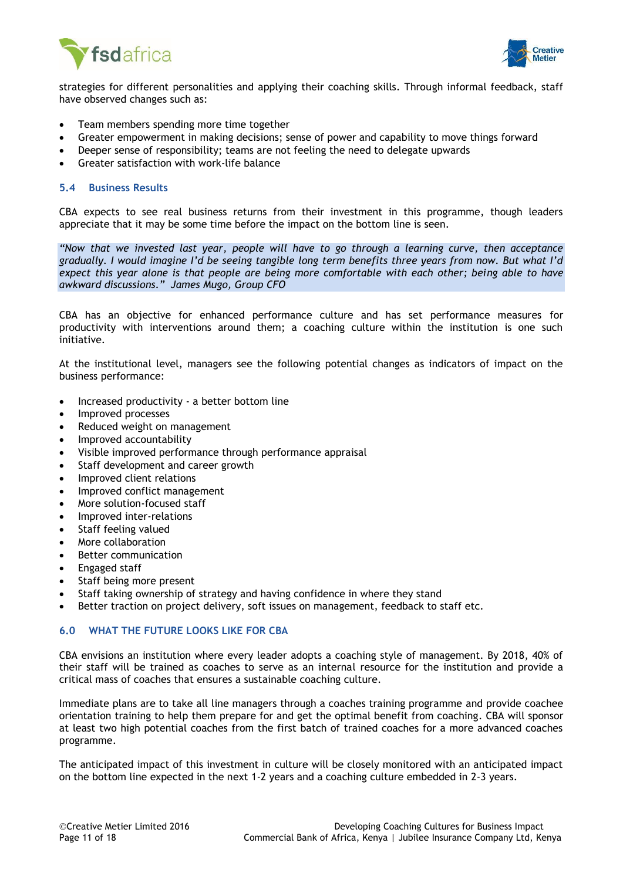



strategies for different personalities and applying their coaching skills. Through informal feedback, staff have observed changes such as:

- Team members spending more time together
- Greater empowerment in making decisions; sense of power and capability to move things forward
- Deeper sense of responsibility; teams are not feeling the need to delegate upwards
- Greater satisfaction with work-life balance

#### <span id="page-10-0"></span>**5.4 Business Results**

CBA expects to see real business returns from their investment in this programme, though leaders appreciate that it may be some time before the impact on the bottom line is seen.

*"Now that we invested last year, people will have to go through a learning curve, then acceptance gradually. I would imagine I'd be seeing tangible long term benefits three years from now. But what I'd expect this year alone is that people are being more comfortable with each other; being able to have awkward discussions." James Mugo, Group CFO*

CBA has an objective for enhanced performance culture and has set performance measures for productivity with interventions around them; a coaching culture within the institution is one such initiative.

At the institutional level, managers see the following potential changes as indicators of impact on the business performance:

- Increased productivity a better bottom line
- Improved processes
- Reduced weight on management
- Improved accountability
- Visible improved performance through performance appraisal
- Staff development and career growth
- Improved client relations
- Improved conflict management
- More solution-focused staff
- Improved inter-relations
- Staff feeling valued
- More collaboration
- Better communication
- Engaged staff
- Staff being more present
- Staff taking ownership of strategy and having confidence in where they stand
- <span id="page-10-1"></span>Better traction on project delivery, soft issues on management, feedback to staff etc.

### **6.0 WHAT THE FUTURE LOOKS LIKE FOR CBA**

CBA envisions an institution where every leader adopts a coaching style of management. By 2018, 40% of their staff will be trained as coaches to serve as an internal resource for the institution and provide a critical mass of coaches that ensures a sustainable coaching culture.

Immediate plans are to take all line managers through a coaches training programme and provide coachee orientation training to help them prepare for and get the optimal benefit from coaching. CBA will sponsor at least two high potential coaches from the first batch of trained coaches for a more advanced coaches programme.

<span id="page-10-2"></span>The anticipated impact of this investment in culture will be closely monitored with an anticipated impact on the bottom line expected in the next 1-2 years and a coaching culture embedded in 2-3 years.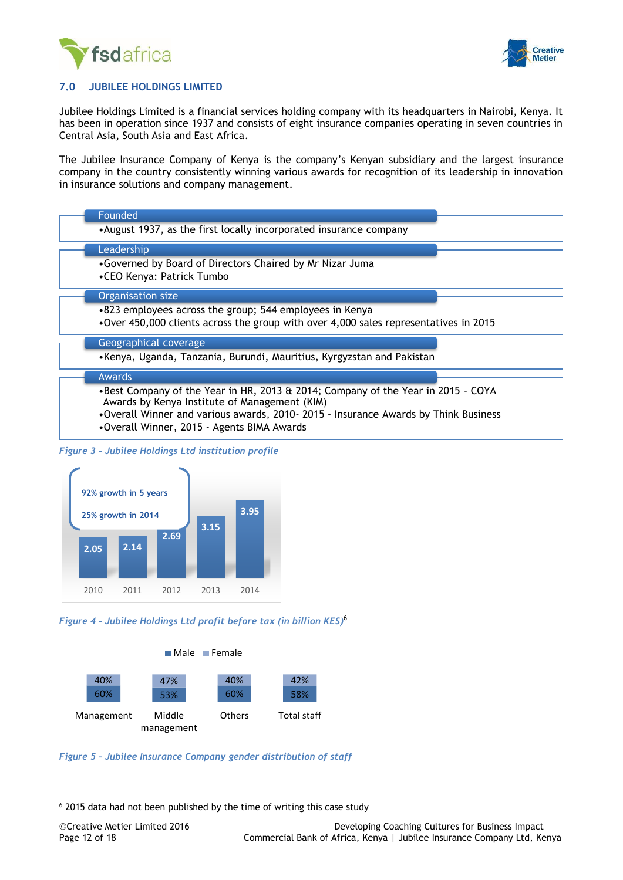



### **7.0 JUBILEE HOLDINGS LIMITED**

Jubilee Holdings Limited is a financial services holding company with its headquarters in Nairobi, Kenya. It has been in operation since 1937 and consists of eight insurance companies operating in seven countries in Central Asia, South Asia and East Africa.

The Jubilee Insurance Company of Kenya is the company's Kenyan subsidiary and the largest insurance company in the country consistently winning various awards for recognition of its leadership in innovation in insurance solutions and company management.

| Founded                                                                                                                                                                                                                  |
|--------------------------------------------------------------------------------------------------------------------------------------------------------------------------------------------------------------------------|
| • August 1937, as the first locally incorporated insurance company                                                                                                                                                       |
| Leadership                                                                                                                                                                                                               |
| •Governed by Board of Directors Chaired by Mr Nizar Juma<br>•CEO Kenya: Patrick Tumbo                                                                                                                                    |
| Organisation size                                                                                                                                                                                                        |
| •823 employees across the group; 544 employees in Kenya<br>•Over 450,000 clients across the group with over 4,000 sales representatives in 2015                                                                          |
| Geographical coverage                                                                                                                                                                                                    |
| •Kenya, Uganda, Tanzania, Burundi, Mauritius, Kyrgyzstan and Pakistan                                                                                                                                                    |
| <b>Awards</b>                                                                                                                                                                                                            |
| •Best Company of the Year in HR, 2013 & 2014; Company of the Year in 2015 - COYA<br>Awards by Kenya Institute of Management (KIM)<br>. Overall Winner and various awards, 2010-2015 - Insurance Awards by Think Business |
| •Overall Winner, 2015 - Agents BIMA Awards                                                                                                                                                                               |

*Figure 3 – Jubilee Holdings Ltd institution profile*



*Figure 4 – Jubilee Holdings Ltd profit before tax (in billion KES)* 6



*Figure 5 – Jubilee Insurance Company gender distribution of staff*

-

<sup>6</sup> 2015 data had not been published by the time of writing this case study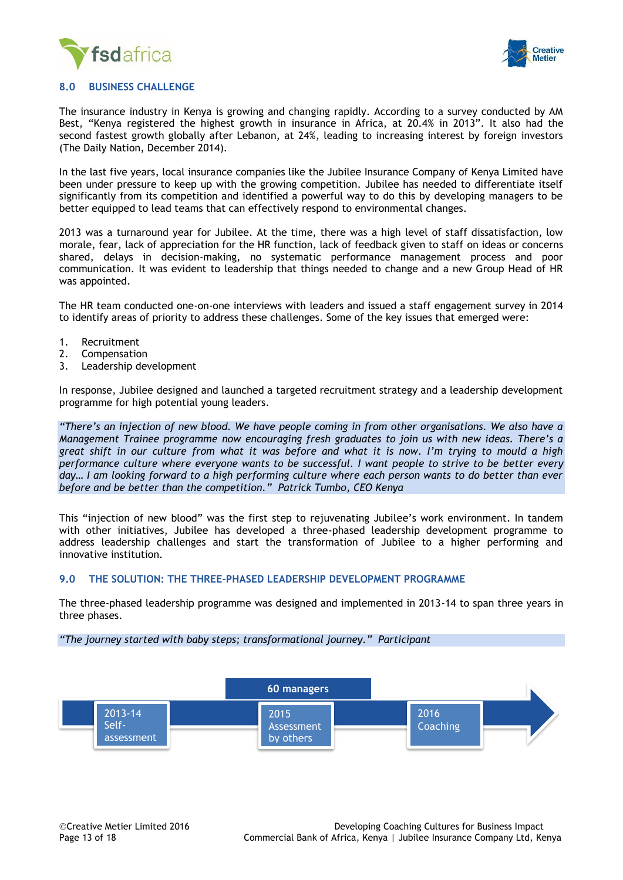



#### <span id="page-12-0"></span>**8.0 BUSINESS CHALLENGE**

The insurance industry in Kenya is growing and changing rapidly. According to a survey conducted by AM Best, "Kenya registered the highest growth in insurance in Africa, at 20.4% in 2013". It also had the second fastest growth globally after Lebanon, at 24%, leading to increasing interest by foreign investors (The Daily Nation, December 2014).

In the last five years, local insurance companies like the Jubilee Insurance Company of Kenya Limited have been under pressure to keep up with the growing competition. Jubilee has needed to differentiate itself significantly from its competition and identified a powerful way to do this by developing managers to be better equipped to lead teams that can effectively respond to environmental changes.

2013 was a turnaround year for Jubilee. At the time, there was a high level of staff dissatisfaction, low morale, fear, lack of appreciation for the HR function, lack of feedback given to staff on ideas or concerns shared, delays in decision-making, no systematic performance management process and poor communication. It was evident to leadership that things needed to change and a new Group Head of HR was appointed.

The HR team conducted one-on-one interviews with leaders and issued a staff engagement survey in 2014 to identify areas of priority to address these challenges. Some of the key issues that emerged were:

- 1. Recruitment
- 2. Compensation
- 3. Leadership development

In response, Jubilee designed and launched a targeted recruitment strategy and a leadership development programme for high potential young leaders.

*"There's an injection of new blood. We have people coming in from other organisations. We also have a Management Trainee programme now encouraging fresh graduates to join us with new ideas. There's a great shift in our culture from what it was before and what it is now. I'm trying to mould a high performance culture where everyone wants to be successful. I want people to strive to be better every day… I am looking forward to a high performing culture where each person wants to do better than ever before and be better than the competition." Patrick Tumbo, CEO Kenya*

This "injection of new blood" was the first step to rejuvenating Jubilee's work environment. In tandem with other initiatives, Jubilee has developed a three-phased leadership development programme to address leadership challenges and start the transformation of Jubilee to a higher performing and innovative institution.

#### <span id="page-12-1"></span>**9.0 THE SOLUTION: THE THREE-PHASED LEADERSHIP DEVELOPMENT PROGRAMME**

The three-phased leadership programme was designed and implemented in 2013-14 to span three years in three phases.

*"The journey started with baby steps; transformational journey." Participant*

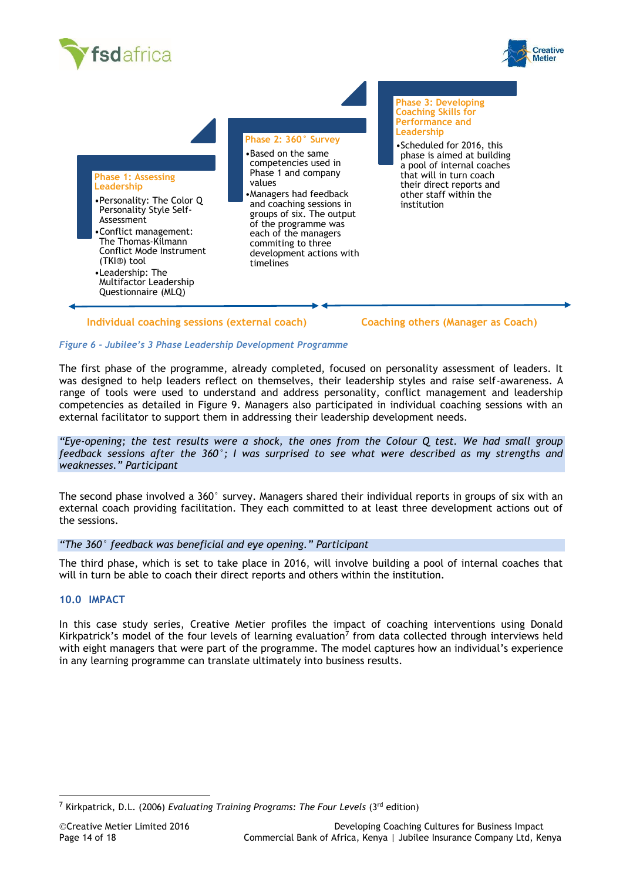





#### **Individual coaching sessions (external coach) Coaching others (Manager as Coach)**

**Phase 3: Developing** 

#### *Figure 6 - Jubilee's 3 Phase Leadership Development Programme*

The first phase of the programme, already completed, focused on personality assessment of leaders. It was designed to help leaders reflect on themselves, their leadership styles and raise self-awareness. A range of tools were used to understand and address personality, conflict management and leadership competencies as detailed in Figure 9. Managers also participated in individual coaching sessions with an external facilitator to support them in addressing their leadership development needs.

*"Eye-opening; the test results were a shock, the ones from the Colour Q test. We had small group feedback sessions after the 360°; I was surprised to see what were described as my strengths and weaknesses." Participant* 

The second phase involved a 360° survey. Managers shared their individual reports in groups of six with an external coach providing facilitation. They each committed to at least three development actions out of the sessions.

### *"The 360° feedback was beneficial and eye opening." Participant*

The third phase, which is set to take place in 2016, will involve building a pool of internal coaches that will in turn be able to coach their direct reports and others within the institution.

#### <span id="page-13-0"></span>**10.0 IMPACT**

In this case study series, Creative Metier profiles the impact of coaching interventions using Donald Kirkpatrick's model of the four levels of learning evaluation<sup>7</sup> from data collected through interviews held with eight managers that were part of the programme. The model captures how an individual's experience in any learning programme can translate ultimately into business results.

<sup>7</sup> Kirkpatrick, D.L. (2006) *Evaluating Training Programs: The Four Levels* (3rd edition)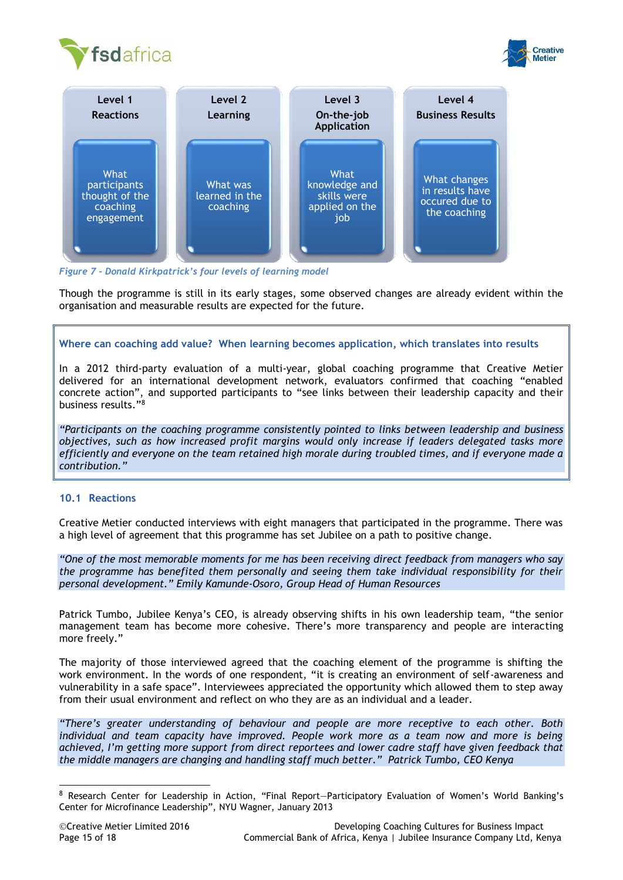





*Figure 7 - Donald Kirkpatrick's four levels of learning model*

Though the programme is still in its early stages, some observed changes are already evident within the organisation and measurable results are expected for the future.

### **Where can coaching add value? When learning becomes application, which translates into results**

In a 2012 third-party evaluation of a multi-year, global coaching programme that Creative Metier delivered for an international development network, evaluators confirmed that coaching "enabled concrete action", and supported participants to "see links between their leadership capacity and their business results."<sup>8</sup>

*"Participants on the coaching programme consistently pointed to links between leadership and business objectives, such as how increased profit margins would only increase if leaders delegated tasks more efficiently and everyone on the team retained high morale during troubled times, and if everyone made a contribution."*

### <span id="page-14-0"></span>**10.1 Reactions**

Creative Metier conducted interviews with eight managers that participated in the programme. There was a high level of agreement that this programme has set Jubilee on a path to positive change.

*"One of the most memorable moments for me has been receiving direct feedback from managers who say the programme has benefited them personally and seeing them take individual responsibility for their personal development." Emily Kamunde-Osoro, Group Head of Human Resources*

Patrick Tumbo, Jubilee Kenya's CEO, is already observing shifts in his own leadership team, "the senior management team has become more cohesive. There's more transparency and people are interacting more freely."

The majority of those interviewed agreed that the coaching element of the programme is shifting the work environment. In the words of one respondent, "it is creating an environment of self-awareness and vulnerability in a safe space". Interviewees appreciated the opportunity which allowed them to step away from their usual environment and reflect on who they are as an individual and a leader.

*"There's greater understanding of behaviour and people are more receptive to each other. Both individual and team capacity have improved. People work more as a team now and more is being achieved, I'm getting more support from direct reportees and lower cadre staff have given feedback that the middle managers are changing and handling staff much better." Patrick Tumbo, CEO Kenya*

<sup>8</sup> Research Center for Leadership in Action, "Final Report—Participatory Evaluation of Women's World Banking's Center for Microfinance Leadership", NYU Wagner, January 2013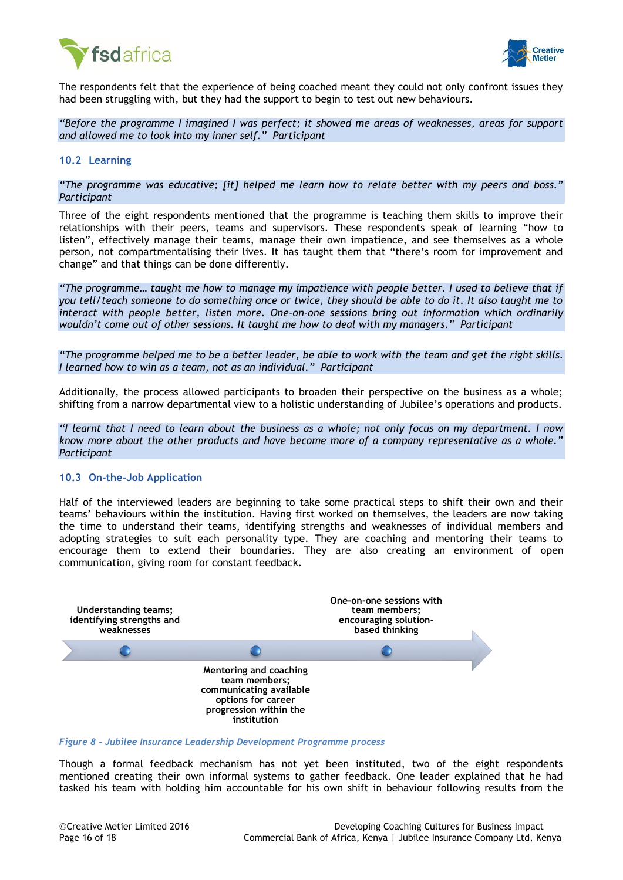



The respondents felt that the experience of being coached meant they could not only confront issues they had been struggling with, but they had the support to begin to test out new behaviours.

*"Before the programme I imagined I was perfect; it showed me areas of weaknesses, areas for support and allowed me to look into my inner self." Participant* 

#### <span id="page-15-0"></span>**10.2 Learning**

*"The programme was educative; [it] helped me learn how to relate better with my peers and boss." Participant*

Three of the eight respondents mentioned that the programme is teaching them skills to improve their relationships with their peers, teams and supervisors. These respondents speak of learning "how to listen", effectively manage their teams, manage their own impatience, and see themselves as a whole person, not compartmentalising their lives. It has taught them that "there's room for improvement and change" and that things can be done differently.

*"The programme… taught me how to manage my impatience with people better. I used to believe that if you tell/teach someone to do something once or twice, they should be able to do it. It also taught me to interact with people better, listen more. One-on-one sessions bring out information which ordinarily wouldn't come out of other sessions. It taught me how to deal with my managers." Participant*

*"The programme helped me to be a better leader, be able to work with the team and get the right skills. I learned how to win as a team, not as an individual." Participant*

Additionally, the process allowed participants to broaden their perspective on the business as a whole; shifting from a narrow departmental view to a holistic understanding of Jubilee's operations and products.

*"I learnt that I need to learn about the business as a whole; not only focus on my department. I now know more about the other products and have become more of a company representative as a whole." Participant*

#### <span id="page-15-1"></span>**10.3 On-the-Job Application**

Half of the interviewed leaders are beginning to take some practical steps to shift their own and their teams' behaviours within the institution. Having first worked on themselves, the leaders are now taking the time to understand their teams, identifying strengths and weaknesses of individual members and adopting strategies to suit each personality type. They are coaching and mentoring their teams to encourage them to extend their boundaries. They are also creating an environment of open communication, giving room for constant feedback.



*Figure 8 – Jubilee Insurance Leadership Development Programme process*

Though a formal feedback mechanism has not yet been instituted, two of the eight respondents mentioned creating their own informal systems to gather feedback. One leader explained that he had tasked his team with holding him accountable for his own shift in behaviour following results from the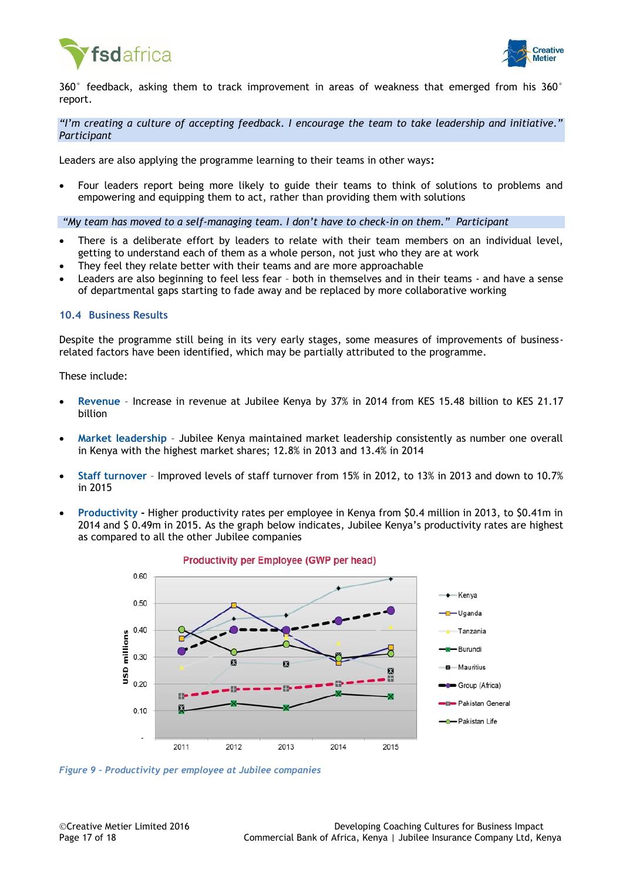



360° feedback, asking them to track improvement in areas of weakness that emerged from his 360° report.

*"I'm creating a culture of accepting feedback. I encourage the team to take leadership and initiative." Participant* 

Leaders are also applying the programme learning to their teams in other ways**:**

 Four leaders report being more likely to guide their teams to think of solutions to problems and empowering and equipping them to act, rather than providing them with solutions

*"My team has moved to a self-managing team. I don't have to check-in on them." Participant* 

- There is a deliberate effort by leaders to relate with their team members on an individual level, getting to understand each of them as a whole person, not just who they are at work
- They feel they relate better with their teams and are more approachable
- Leaders are also beginning to feel less fear both in themselves and in their teams and have a sense of departmental gaps starting to fade away and be replaced by more collaborative working

#### <span id="page-16-0"></span>**10.4 Business Results**

Despite the programme still being in its very early stages, some measures of improvements of businessrelated factors have been identified, which may be partially attributed to the programme.

These include:

- **Revenue** Increase in revenue at Jubilee Kenya by 37% in 2014 from KES 15.48 billion to KES 21.17 billion
- **Market leadership** Jubilee Kenya maintained market leadership consistently as number one overall in Kenya with the highest market shares; 12.8% in 2013 and 13.4% in 2014
- **Staff turnover** Improved levels of staff turnover from 15% in 2012, to 13% in 2013 and down to 10.7% in 2015
- **Productivity -** Higher productivity rates per employee in Kenya from \$0.4 million in 2013, to \$0.41m in 2014 and \$ 0.49m in 2015. As the graph below indicates, Jubilee Kenya's productivity rates are highest as compared to all the other Jubilee companies



Productivity per Employee (GWP per head)

*Figure 9 – Productivity per employee at Jubilee companies*